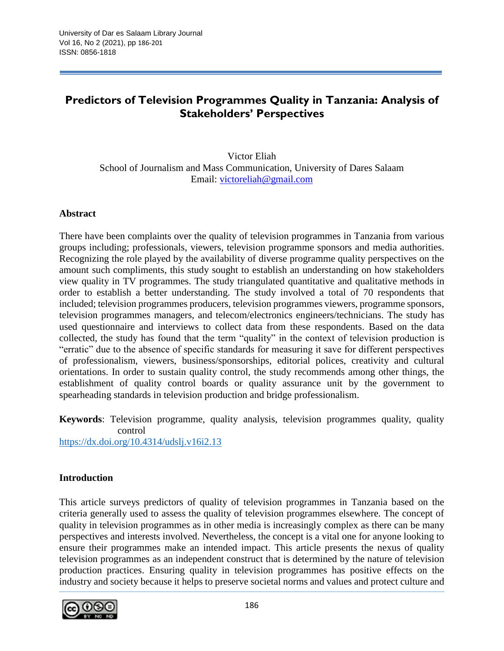# **Predictors of Television Programmes Quality in Tanzania: Analysis of Stakeholders' Perspectives**

Victor Eliah School of Journalism and Mass Communication, University of Dares Salaam Email: [victoreliah@gmail.com](mailto:victoreliah@gmail.com)

#### **Abstract**

There have been complaints over the quality of television programmes in Tanzania from various groups including; professionals, viewers, television programme sponsors and media authorities. Recognizing the role played by the availability of diverse programme quality perspectives on the amount such compliments, this study sought to establish an understanding on how stakeholders view quality in TV programmes. The study triangulated quantitative and qualitative methods in order to establish a better understanding. The study involved a total of 70 respondents that included; television programmes producers, television programmes viewers, programme sponsors, television programmes managers, and telecom/electronics engineers/technicians. The study has used questionnaire and interviews to collect data from these respondents. Based on the data collected, the study has found that the term "quality" in the context of television production is "erratic" due to the absence of specific standards for measuring it save for different perspectives of professionalism, viewers, business/sponsorships, editorial polices, creativity and cultural orientations. In order to sustain quality control, the study recommends among other things, the establishment of quality control boards or quality assurance unit by the government to spearheading standards in television production and bridge professionalism.

**Keywords**: Television programme, quality analysis, television programmes quality, quality control

<https://dx.doi.org/10.4314/udslj.v16i2.13>

#### **Introduction**

This article surveys predictors of quality of television programmes in Tanzania based on the criteria generally used to assess the quality of television programmes elsewhere. The concept of quality in television programmes as in other media is increasingly complex as there can be many perspectives and interests involved. Nevertheless, the concept is a vital one for anyone looking to ensure their programmes make an intended impact. This article presents the nexus of quality television programmes as an independent construct that is determined by the nature of television production practices. Ensuring quality in television programmes has positive effects on the industry and society because it helps to preserve societal norms and values and protect culture and

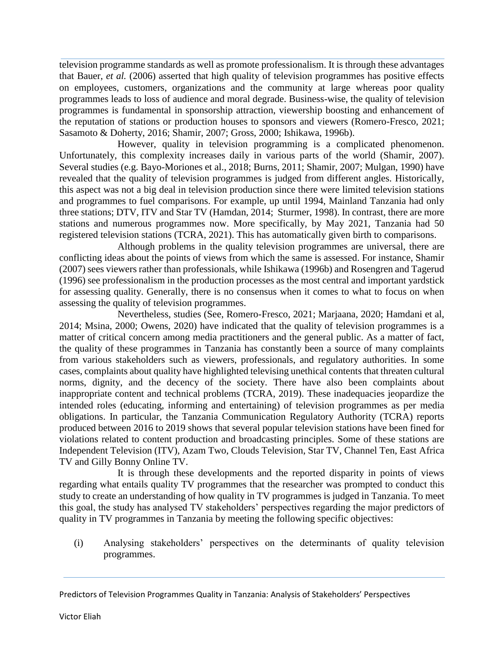television programme standards as well as promote professionalism. It is through these advantages that Bauer, *et al.* (2006) asserted that high quality of television programmes has positive effects on employees, customers, organizations and the community at large whereas poor quality programmes leads to loss of audience and moral degrade. Business-wise, the quality of television programmes is fundamental in sponsorship attraction, viewership boosting and enhancement of the reputation of stations or production houses to sponsors and viewers (Romero-Fresco, 2021; Sasamoto & Doherty, 2016; Shamir, 2007; Gross, 2000; Ishikawa, 1996b).

However, quality in television programming is a complicated phenomenon. Unfortunately, this complexity increases daily in various parts of the world (Shamir, 2007). Several studies (e.g. Bayo-Moriones et al., 2018; Burns, 2011; Shamir, 2007; Mulgan, 1990) have revealed that the quality of television programmes is judged from different angles. Historically, this aspect was not a big deal in television production since there were limited television stations and programmes to fuel comparisons. For example, up until 1994, Mainland Tanzania had only three stations; DTV, ITV and Star TV (Hamdan, 2014; Sturmer, 1998). In contrast, there are more stations and numerous programmes now. More specifically, by May 2021, Tanzania had 50 registered television stations (TCRA, 2021). This has automatically given birth to comparisons.

Although problems in the quality television programmes are universal, there are conflicting ideas about the points of views from which the same is assessed. For instance, Shamir (2007) sees viewers rather than professionals, while Ishikawa (1996b) and Rosengren and Tagerud (1996) see professionalism in the production processes as the most central and important yardstick for assessing quality. Generally, there is no consensus when it comes to what to focus on when assessing the quality of television programmes.

Nevertheless, studies (See, Romero-Fresco, 2021; Marjaana, 2020; Hamdani et al, 2014; Msina, 2000; Owens, 2020) have indicated that the quality of television programmes is a matter of critical concern among media practitioners and the general public. As a matter of fact, the quality of these programmes in Tanzania has constantly been a source of many complaints from various stakeholders such as viewers, professionals, and regulatory authorities. In some cases, complaints about quality have highlighted televising unethical contents that threaten cultural norms, dignity, and the decency of the society. There have also been complaints about inappropriate content and technical problems (TCRA, 2019). These inadequacies jeopardize the intended roles (educating, informing and entertaining) of television programmes as per media obligations. In particular, the Tanzania Communication Regulatory Authority (TCRA) reports produced between 2016 to 2019 shows that several popular television stations have been fined for violations related to content production and broadcasting principles. Some of these stations are Independent Television (ITV), Azam Two, Clouds Television, Star TV, Channel Ten, East Africa TV and Gilly Bonny Online TV.

It is through these developments and the reported disparity in points of views regarding what entails quality TV programmes that the researcher was prompted to conduct this study to create an understanding of how quality in TV programmes is judged in Tanzania. To meet this goal, the study has analysed TV stakeholders' perspectives regarding the major predictors of quality in TV programmes in Tanzania by meeting the following specific objectives:

(i) Analysing stakeholders' perspectives on the determinants of quality television programmes.

Predictors of Television Programmes Quality in Tanzania: Analysis of Stakeholders' Perspectives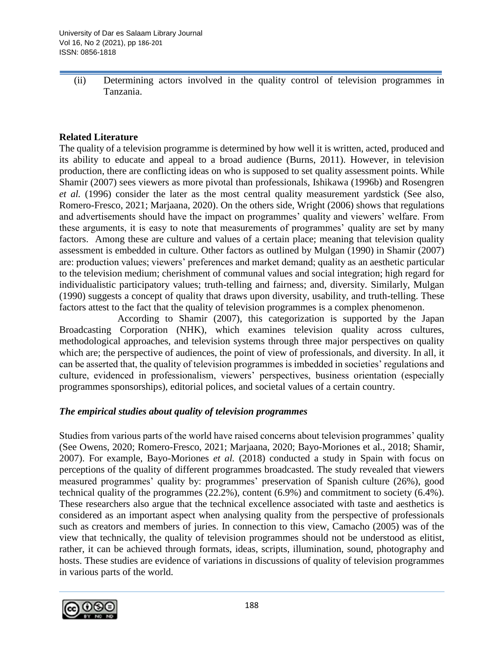(ii) Determining actors involved in the quality control of television programmes in Tanzania.

### **Related Literature**

The quality of a television programme is determined by how well it is written, acted, produced and its ability to educate and appeal to a broad audience (Burns, 2011). However, in television production, there are conflicting ideas on who is supposed to set quality assessment points. While Shamir (2007) sees viewers as more pivotal than professionals, Ishikawa (1996b) and Rosengren *et al.* (1996) consider the later as the most central quality measurement yardstick (See also, Romero-Fresco, 2021; Marjaana, 2020). On the others side, Wright (2006) shows that regulations and advertisements should have the impact on programmes' quality and viewers' welfare. From these arguments, it is easy to note that measurements of programmes' quality are set by many factors. Among these are culture and values of a certain place; meaning that television quality assessment is embedded in culture. Other factors as outlined by Mulgan (1990) in Shamir (2007) are: production values; viewers' preferences and market demand; quality as an aesthetic particular to the television medium; cherishment of communal values and social integration; high regard for individualistic participatory values; truth-telling and fairness; and, diversity. Similarly, Mulgan (1990) suggests a concept of quality that draws upon diversity, usability, and truth-telling. These factors attest to the fact that the quality of television programmes is a complex phenomenon.

According to Shamir (2007), this categorization is supported by the Japan Broadcasting Corporation (NHK), which examines television quality across cultures, methodological approaches, and television systems through three major perspectives on quality which are; the perspective of audiences, the point of view of professionals, and diversity. In all, it can be asserted that, the quality of television programmes is imbedded in societies' regulations and culture, evidenced in professionalism, viewers' perspectives, business orientation (especially programmes sponsorships), editorial polices, and societal values of a certain country.

#### *The empirical studies about quality of television programmes*

Studies from various parts of the world have raised concerns about television programmes' quality (See Owens, 2020; Romero-Fresco, 2021; Marjaana, 2020; Bayo-Moriones et al., 2018; Shamir, 2007). For example, Bayo-Moriones *et al.* (2018) conducted a study in Spain with focus on perceptions of the quality of different programmes broadcasted. The study revealed that viewers measured programmes' quality by: programmes' preservation of Spanish culture (26%), good technical quality of the programmes (22.2%), content (6.9%) and commitment to society (6.4%). These researchers also argue that the technical excellence associated with taste and aesthetics is considered as an important aspect when analysing quality from the perspective of professionals such as creators and members of juries. In connection to this view, Camacho (2005) was of the view that technically, the quality of television programmes should not be understood as elitist, rather, it can be achieved through formats, ideas, scripts, illumination, sound, photography and hosts. These studies are evidence of variations in discussions of quality of television programmes in various parts of the world.

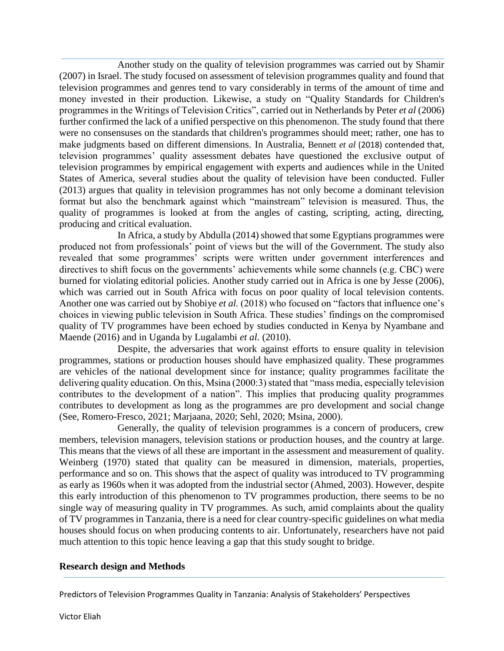Another study on the quality of television programmes was carried out by Shamir (2007) in Israel. The study focused on assessment of television programmes quality and found that television programmes and genres tend to vary considerably in terms of the amount of time and money invested in their production. Likewise, a study on "Quality Standards for Children's programmes in the Writings of Television Critics", carried out in Netherlands by Peter *et al* (2006) further confirmed the lack of a unified perspective on this phenomenon. The study found that there were no consensuses on the standards that children's programmes should meet; rather, one has to make judgments based on different dimensions. In Australia, Bennett *et al* (2018) contended that, television programmes' quality assessment debates have questioned the exclusive output of television programmes by empirical engagement with experts and audiences while in the United States of America, several studies about the quality of television have been conducted. Fuller (2013) argues that quality in television programmes has not only become a dominant television format but also the benchmark against which "mainstream" television is measured. Thus, the quality of programmes is looked at from the angles of casting, scripting, acting, directing, producing and critical evaluation.

In Africa, a study by Abdulla (2014) showed that some Egyptians programmes were produced not from professionals' point of views but the will of the Government. The study also revealed that some programmes' scripts were written under government interferences and directives to shift focus on the governments' achievements while some channels (e.g. CBC) were burned for violating editorial policies. Another study carried out in Africa is one by Jesse (2006), which was carried out in South Africa with focus on poor quality of local television contents. Another one was carried out by Shobiye *et al.* (2018) who focused on "factors that influence one's choices in viewing public television in South Africa. These studies' findings on the compromised quality of TV programmes have been echoed by studies conducted in Kenya by Nyambane and Maende (2016) and in Uganda by Lugalambi *et al.* (2010).

Despite, the adversaries that work against efforts to ensure quality in television programmes, stations or production houses should have emphasized quality. These programmes are vehicles of the national development since for instance; quality programmes facilitate the delivering quality education. On this, Msina (2000:3) stated that "mass media, especially television contributes to the development of a nation". This implies that producing quality programmes contributes to development as long as the programmes are pro development and social change (See, Romero-Fresco, 2021; Marjaana, 2020; Sehl, 2020; Msina, 2000).

Generally, the quality of television programmes is a concern of producers, crew members, television managers, television stations or production houses, and the country at large. This means that the views of all these are important in the assessment and measurement of quality. Weinberg (1970) stated that quality can be measured in dimension, materials, properties, performance and so on. This shows that the aspect of quality was introduced to TV programming as early as 1960s when it was adopted from the industrial sector (Ahmed, 2003). However, despite this early introduction of this phenomenon to TV programmes production, there seems to be no single way of measuring quality in TV programmes. As such, amid complaints about the quality of TV programmes in Tanzania, there is a need for clear country-specific guidelines on what media houses should focus on when producing contents to air. Unfortunately, researchers have not paid much attention to this topic hence leaving a gap that this study sought to bridge.

#### **Research design and Methods**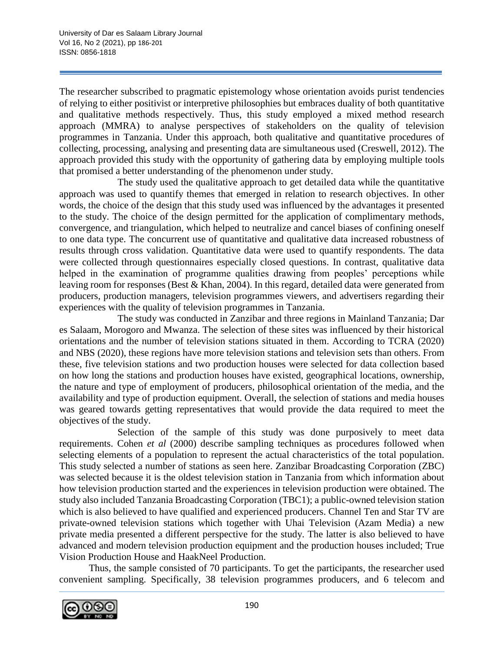The researcher subscribed to pragmatic epistemology whose orientation avoids purist tendencies of relying to either positivist or interpretive philosophies but embraces duality of both quantitative and qualitative methods respectively. Thus, this study employed a mixed method research approach (MMRA) to analyse perspectives of stakeholders on the quality of television programmes in Tanzania. Under this approach, both qualitative and quantitative procedures of collecting, processing, analysing and presenting data are simultaneous used (Creswell, 2012). The approach provided this study with the opportunity of gathering data by employing multiple tools that promised a better understanding of the phenomenon under study.

The study used the qualitative approach to get detailed data while the quantitative approach was used to quantify themes that emerged in relation to research objectives. In other words, the choice of the design that this study used was influenced by the advantages it presented to the study. The choice of the design permitted for the application of complimentary methods, convergence, and triangulation, which helped to neutralize and cancel biases of confining oneself to one data type. The concurrent use of quantitative and qualitative data increased robustness of results through cross validation. Quantitative data were used to quantify respondents. The data were collected through questionnaires especially closed questions. In contrast, qualitative data helped in the examination of programme qualities drawing from peoples' perceptions while leaving room for responses (Best & Khan, 2004). In this regard, detailed data were generated from producers, production managers, television programmes viewers, and advertisers regarding their experiences with the quality of television programmes in Tanzania.

The study was conducted in Zanzibar and three regions in Mainland Tanzania; Dar es Salaam, Morogoro and Mwanza. The selection of these sites was influenced by their historical orientations and the number of television stations situated in them. According to TCRA (2020) and NBS (2020), these regions have more television stations and television sets than others. From these, five television stations and two production houses were selected for data collection based on how long the stations and production houses have existed, geographical locations, ownership, the nature and type of employment of producers, philosophical orientation of the media, and the availability and type of production equipment. Overall, the selection of stations and media houses was geared towards getting representatives that would provide the data required to meet the objectives of the study.

Selection of the sample of this study was done purposively to meet data requirements. Cohen *et al* (2000) describe sampling techniques as procedures followed when selecting elements of a population to represent the actual characteristics of the total population. This study selected a number of stations as seen here. Zanzibar Broadcasting Corporation (ZBC) was selected because it is the oldest television station in Tanzania from which information about how television production started and the experiences in television production were obtained. The study also included Tanzania Broadcasting Corporation (TBC1); a public-owned television station which is also believed to have qualified and experienced producers. Channel Ten and Star TV are private-owned television stations which together with Uhai Television (Azam Media) a new private media presented a different perspective for the study. The latter is also believed to have advanced and modern television production equipment and the production houses included; True Vision Production House and HaakNeel Production.

Thus, the sample consisted of 70 participants. To get the participants, the researcher used convenient sampling. Specifically, 38 television programmes producers, and 6 telecom and

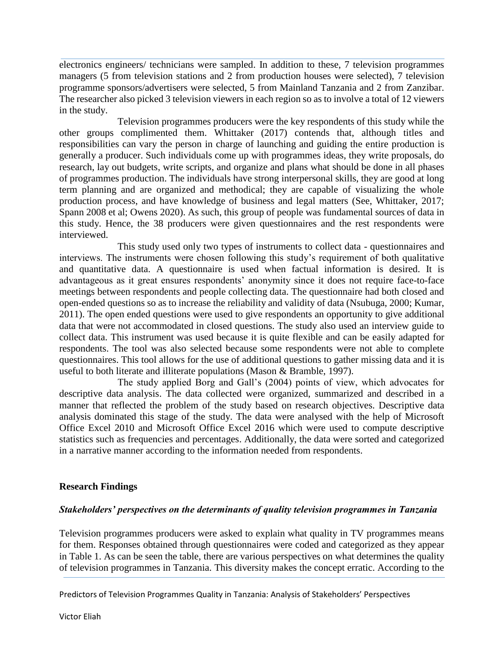electronics engineers/ technicians were sampled. In addition to these, 7 television programmes managers (5 from television stations and 2 from production houses were selected), 7 television programme sponsors/advertisers were selected, 5 from Mainland Tanzania and 2 from Zanzibar. The researcher also picked 3 television viewers in each region so as to involve a total of 12 viewers in the study.

Television programmes producers were the key respondents of this study while the other groups complimented them. Whittaker (2017) contends that, although titles and responsibilities can vary the person in charge of launching and guiding the entire production is generally a producer. Such individuals come up with programmes ideas, they write proposals, do research, lay out budgets, write scripts, and organize and plans what should be done in all phases of programmes production. The individuals have strong interpersonal skills, they are good at long term planning and are organized and methodical; they are capable of visualizing the whole production process, and have knowledge of business and legal matters (See, Whittaker, 2017; Spann 2008 et al; Owens 2020). As such, this group of people was fundamental sources of data in this study. Hence, the 38 producers were given questionnaires and the rest respondents were interviewed.

This study used only two types of instruments to collect data - questionnaires and interviews. The instruments were chosen following this study's requirement of both qualitative and quantitative data. A questionnaire is used when factual information is desired. It is advantageous as it great ensures respondents' anonymity since it does not require face-to-face meetings between respondents and people collecting data. The questionnaire had both closed and open-ended questions so as to increase the reliability and validity of data (Nsubuga, 2000; Kumar, 2011). The open ended questions were used to give respondents an opportunity to give additional data that were not accommodated in closed questions. The study also used an interview guide to collect data. This instrument was used because it is quite flexible and can be easily adapted for respondents. The tool was also selected because some respondents were not able to complete questionnaires. This tool allows for the use of additional questions to gather missing data and it is useful to both literate and illiterate populations (Mason & Bramble, 1997).

The study applied Borg and Gall's (2004) points of view, which advocates for descriptive data analysis. The data collected were organized, summarized and described in a manner that reflected the problem of the study based on research objectives. Descriptive data analysis dominated this stage of the study. The data were analysed with the help of Microsoft Office Excel 2010 and Microsoft Office Excel 2016 which were used to compute descriptive statistics such as frequencies and percentages. Additionally, the data were sorted and categorized in a narrative manner according to the information needed from respondents.

## **Research Findings**

## *Stakeholders' perspectives on the determinants of quality television programmes in Tanzania*

Television programmes producers were asked to explain what quality in TV programmes means for them. Responses obtained through questionnaires were coded and categorized as they appear in Table 1. As can be seen the table, there are various perspectives on what determines the quality of television programmes in Tanzania. This diversity makes the concept erratic. According to the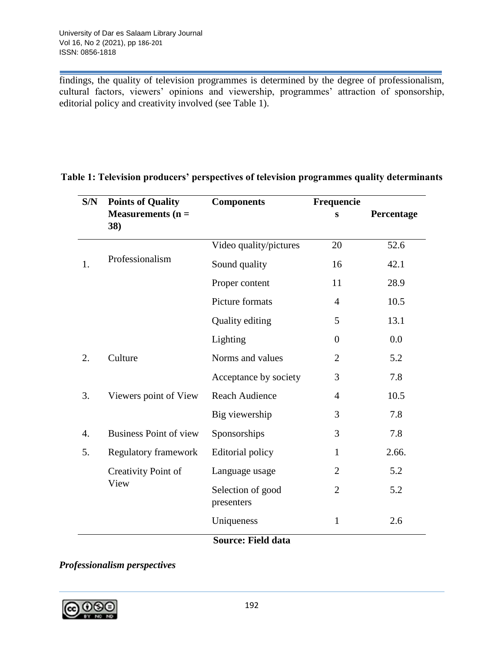findings, the quality of television programmes is determined by the degree of professionalism, cultural factors, viewers' opinions and viewership, programmes' attraction of sponsorship, editorial policy and creativity involved (see Table 1).

| S/N | <b>Points of Quality</b>      | <b>Components</b>               | Frequencie     |            |
|-----|-------------------------------|---------------------------------|----------------|------------|
|     | Measurements $(n =$<br>38)    |                                 | S              | Percentage |
|     |                               | Video quality/pictures          | 20             | 52.6       |
| 1.  | Professionalism               | Sound quality                   | 16             | 42.1       |
|     |                               | Proper content                  | 11             | 28.9       |
|     |                               | Picture formats                 | $\overline{4}$ | 10.5       |
|     |                               | <b>Quality editing</b>          | 5              | 13.1       |
|     |                               | Lighting                        | $\overline{0}$ | 0.0        |
| 2.  | Culture                       | Norms and values                | $\overline{2}$ | 5.2        |
|     |                               | Acceptance by society           | 3              | 7.8        |
| 3.  | Viewers point of View         | <b>Reach Audience</b>           | $\overline{4}$ | 10.5       |
|     |                               | Big viewership                  | 3              | 7.8        |
| 4.  | <b>Business Point of view</b> | Sponsorships                    | 3              | 7.8        |
| 5.  | Regulatory framework          | Editorial policy                | $\mathbf{1}$   | 2.66.      |
|     | Creativity Point of<br>View   | Language usage                  | $\overline{2}$ | 5.2        |
|     |                               | Selection of good<br>presenters | $\overline{2}$ | 5.2        |
|     |                               | Uniqueness                      | $\mathbf{1}$   | 2.6        |
|     |                               | <b>Source: Field data</b>       |                |            |

## **Table 1: Television producers' perspectives of television programmes quality determinants**

# *Professionalism perspectives*

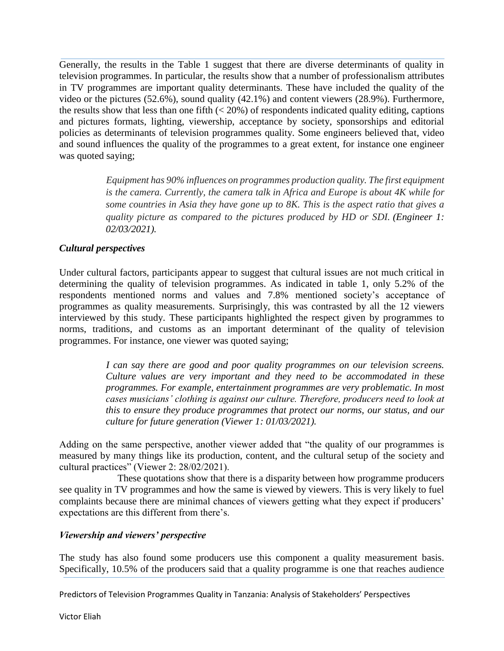Generally, the results in the Table 1 suggest that there are diverse determinants of quality in television programmes. In particular, the results show that a number of professionalism attributes in TV programmes are important quality determinants. These have included the quality of the video or the pictures (52.6%), sound quality (42.1%) and content viewers (28.9%). Furthermore, the results show that less than one fifth  $( $20\%$ ) of respondents indicated quality editing, captions$ and pictures formats, lighting, viewership, acceptance by society, sponsorships and editorial policies as determinants of television programmes quality. Some engineers believed that, video and sound influences the quality of the programmes to a great extent, for instance one engineer was quoted saying;

> *Equipment has 90% influences on programmes production quality. The first equipment is the camera. Currently, the camera talk in Africa and Europe is about 4K while for some countries in Asia they have gone up to 8K. This is the aspect ratio that gives a quality picture as compared to the pictures produced by HD or SDI. (Engineer 1: 02/03/2021).*

## *Cultural perspectives*

Under cultural factors, participants appear to suggest that cultural issues are not much critical in determining the quality of television programmes. As indicated in table 1, only 5.2% of the respondents mentioned norms and values and 7.8% mentioned society's acceptance of programmes as quality measurements. Surprisingly, this was contrasted by all the 12 viewers interviewed by this study. These participants highlighted the respect given by programmes to norms, traditions, and customs as an important determinant of the quality of television programmes. For instance, one viewer was quoted saying;

> *I can say there are good and poor quality programmes on our television screens. Culture values are very important and they need to be accommodated in these programmes. For example, entertainment programmes are very problematic. In most cases musicians' clothing is against our culture. Therefore, producers need to look at this to ensure they produce programmes that protect our norms, our status, and our culture for future generation (Viewer 1: 01/03/2021).*

Adding on the same perspective, another viewer added that "the quality of our programmes is measured by many things like its production, content, and the cultural setup of the society and cultural practices" (Viewer 2: 28/02/2021).

These quotations show that there is a disparity between how programme producers see quality in TV programmes and how the same is viewed by viewers. This is very likely to fuel complaints because there are minimal chances of viewers getting what they expect if producers' expectations are this different from there's.

## *Viewership and viewers' perspective*

The study has also found some producers use this component a quality measurement basis. Specifically, 10.5% of the producers said that a quality programme is one that reaches audience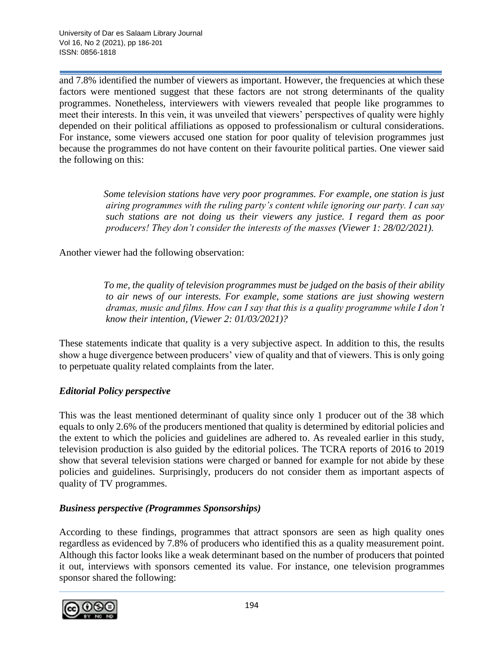and 7.8% identified the number of viewers as important. However, the frequencies at which these factors were mentioned suggest that these factors are not strong determinants of the quality programmes. Nonetheless, interviewers with viewers revealed that people like programmes to meet their interests. In this vein, it was unveiled that viewers' perspectives of quality were highly depended on their political affiliations as opposed to professionalism or cultural considerations. For instance, some viewers accused one station for poor quality of television programmes just because the programmes do not have content on their favourite political parties. One viewer said the following on this:

> *Some television stations have very poor programmes. For example, one station is just airing programmes with the ruling party's content while ignoring our party. I can say such stations are not doing us their viewers any justice. I regard them as poor producers! They don't consider the interests of the masses (Viewer 1: 28/02/2021).*

Another viewer had the following observation:

 *To me, the quality of television programmes must be judged on the basis of their ability to air news of our interests. For example, some stations are just showing western dramas, music and films. How can I say that this is a quality programme while I don't know their intention, (Viewer 2: 01/03/2021)?*

These statements indicate that quality is a very subjective aspect. In addition to this, the results show a huge divergence between producers' view of quality and that of viewers. This is only going to perpetuate quality related complaints from the later.

## *Editorial Policy perspective*

This was the least mentioned determinant of quality since only 1 producer out of the 38 which equals to only 2.6% of the producers mentioned that quality is determined by editorial policies and the extent to which the policies and guidelines are adhered to. As revealed earlier in this study, television production is also guided by the editorial polices. The TCRA reports of 2016 to 2019 show that several television stations were charged or banned for example for not abide by these policies and guidelines. Surprisingly, producers do not consider them as important aspects of quality of TV programmes.

#### *Business perspective (Programmes Sponsorships)*

According to these findings, programmes that attract sponsors are seen as high quality ones regardless as evidenced by 7.8% of producers who identified this as a quality measurement point. Although this factor looks like a weak determinant based on the number of producers that pointed it out, interviews with sponsors cemented its value. For instance, one television programmes sponsor shared the following:

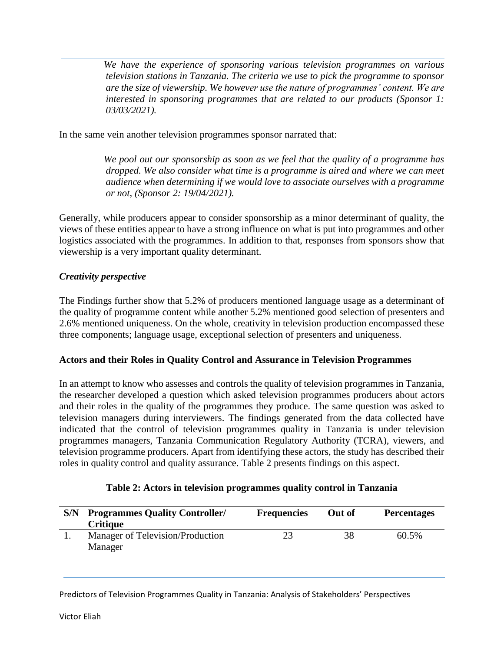*We have the experience of sponsoring various television programmes on various television stations in Tanzania. The criteria we use to pick the programme to sponsor are the size of viewership. We however use the nature of programmes' content. We are interested in sponsoring programmes that are related to our products (Sponsor 1: 03/03/2021).* 

In the same vein another television programmes sponsor narrated that:

 *We pool out our sponsorship as soon as we feel that the quality of a programme has dropped. We also consider what time is a programme is aired and where we can meet audience when determining if we would love to associate ourselves with a programme or not, (Sponsor 2: 19/04/2021).*

Generally, while producers appear to consider sponsorship as a minor determinant of quality, the views of these entities appear to have a strong influence on what is put into programmes and other logistics associated with the programmes. In addition to that, responses from sponsors show that viewership is a very important quality determinant.

## *Creativity perspective*

The Findings further show that 5.2% of producers mentioned language usage as a determinant of the quality of programme content while another 5.2% mentioned good selection of presenters and 2.6% mentioned uniqueness. On the whole, creativity in television production encompassed these three components; language usage, exceptional selection of presenters and uniqueness.

#### **Actors and their Roles in Quality Control and Assurance in Television Programmes**

In an attempt to know who assesses and controls the quality of television programmes in Tanzania, the researcher developed a question which asked television programmes producers about actors and their roles in the quality of the programmes they produce. The same question was asked to television managers during interviewers. The findings generated from the data collected have indicated that the control of television programmes quality in Tanzania is under television programmes managers, Tanzania Communication Regulatory Authority (TCRA), viewers, and television programme producers. Apart from identifying these actors, the study has described their roles in quality control and quality assurance. Table 2 presents findings on this aspect.

| Table 2: Actors in television programmes quality control in Tanzania |  |
|----------------------------------------------------------------------|--|
|----------------------------------------------------------------------|--|

| S/N | <b>Programmes Quality Controller/</b><br><b>Critique</b> | <b>Frequencies</b> | Out of | <b>Percentages</b> |
|-----|----------------------------------------------------------|--------------------|--------|--------------------|
|     | Manager of Television/Production<br>Manager              | 23                 | 38     | 60.5%              |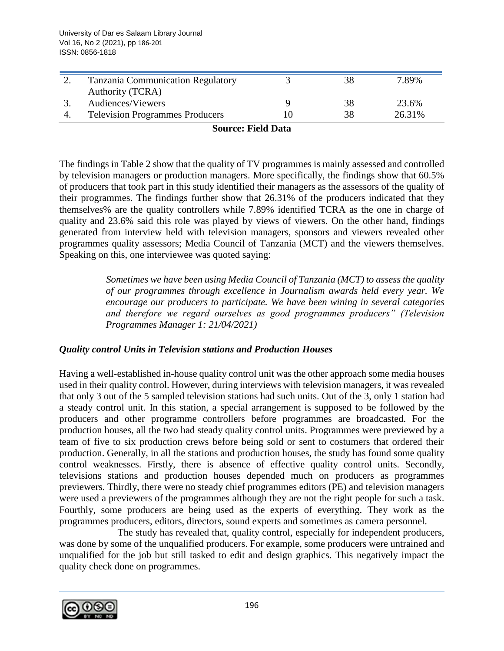| <b>Tanzania Communication Regulatory</b> | 38 | 7.89%  |
|------------------------------------------|----|--------|
| Authority (TCRA)                         |    |        |
| Audiences/Viewers                        | 38 | 23.6%  |
| <b>Television Programmes Producers</b>   | 38 | 26.31% |

#### **Source: Field Data**

The findings in Table 2 show that the quality of TV programmes is mainly assessed and controlled by television managers or production managers. More specifically, the findings show that 60.5% of producers that took part in this study identified their managers as the assessors of the quality of their programmes. The findings further show that 26.31% of the producers indicated that they themselves% are the quality controllers while 7.89% identified TCRA as the one in charge of quality and 23.6% said this role was played by views of viewers. On the other hand, findings generated from interview held with television managers, sponsors and viewers revealed other programmes quality assessors; Media Council of Tanzania (MCT) and the viewers themselves. Speaking on this, one interviewee was quoted saying:

> *Sometimes we have been using Media Council of Tanzania (MCT) to assess the quality of our programmes through excellence in Journalism awards held every year. We encourage our producers to participate. We have been wining in several categories and therefore we regard ourselves as good programmes producers" (Television Programmes Manager 1: 21/04/2021)*

## *Quality control Units in Television stations and Production Houses*

Having a well-established in-house quality control unit was the other approach some media houses used in their quality control. However, during interviews with television managers, it was revealed that only 3 out of the 5 sampled television stations had such units. Out of the 3, only 1 station had a steady control unit. In this station, a special arrangement is supposed to be followed by the producers and other programme controllers before programmes are broadcasted. For the production houses, all the two had steady quality control units. Programmes were previewed by a team of five to six production crews before being sold or sent to costumers that ordered their production. Generally, in all the stations and production houses, the study has found some quality control weaknesses. Firstly, there is absence of effective quality control units. Secondly, televisions stations and production houses depended much on producers as programmes previewers. Thirdly, there were no steady chief programmes editors (PE) and television managers were used a previewers of the programmes although they are not the right people for such a task. Fourthly, some producers are being used as the experts of everything. They work as the programmes producers, editors, directors, sound experts and sometimes as camera personnel.

The study has revealed that, quality control, especially for independent producers, was done by some of the unqualified producers. For example, some producers were untrained and unqualified for the job but still tasked to edit and design graphics. This negatively impact the quality check done on programmes.

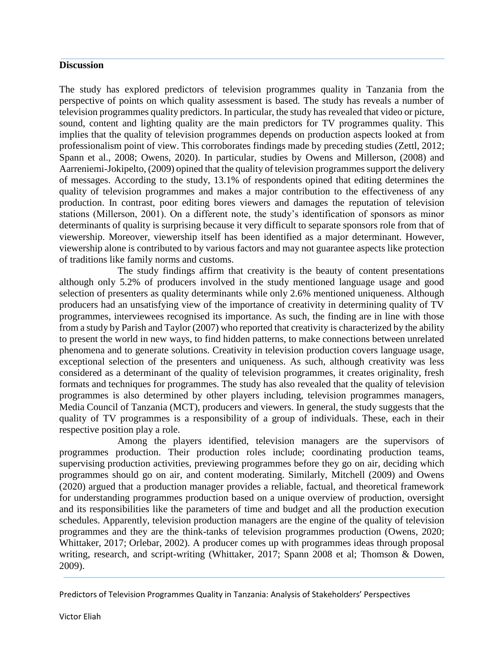#### **Discussion**

The study has explored predictors of television programmes quality in Tanzania from the perspective of points on which quality assessment is based. The study has reveals a number of television programmes quality predictors. In particular, the study has revealed that video or picture, sound, content and lighting quality are the main predictors for TV programmes quality. This implies that the quality of television programmes depends on production aspects looked at from professionalism point of view. This corroborates findings made by preceding studies (Zettl, 2012; Spann et al., 2008; Owens, 2020). In particular, studies by Owens and Millerson, (2008) and Aarreniemi-Jokipelto, (2009) opined that the quality of television programmes support the delivery of messages. According to the study, 13.1% of respondents opined that editing determines the quality of television programmes and makes a major contribution to the effectiveness of any production. In contrast, poor editing bores viewers and damages the reputation of television stations (Millerson, 2001). On a different note, the study's identification of sponsors as minor determinants of quality is surprising because it very difficult to separate sponsors role from that of viewership. Moreover, viewership itself has been identified as a major determinant. However, viewership alone is contributed to by various factors and may not guarantee aspects like protection of traditions like family norms and customs.

The study findings affirm that creativity is the beauty of content presentations although only 5.2% of producers involved in the study mentioned language usage and good selection of presenters as quality determinants while only 2.6% mentioned uniqueness. Although producers had an unsatisfying view of the importance of creativity in determining quality of TV programmes, interviewees recognised its importance. As such, the finding are in line with those from a study by Parish and Taylor (2007) who reported that creativity is characterized by the ability to present the world in new ways, to find hidden patterns, to make connections between unrelated phenomena and to generate solutions. Creativity in television production covers language usage, exceptional selection of the presenters and uniqueness. As such, although creativity was less considered as a determinant of the quality of television programmes, it creates originality, fresh formats and techniques for programmes. The study has also revealed that the quality of television programmes is also determined by other players including, television programmes managers, Media Council of Tanzania (MCT), producers and viewers. In general, the study suggests that the quality of TV programmes is a responsibility of a group of individuals. These, each in their respective position play a role.

Among the players identified, television managers are the supervisors of programmes production. Their production roles include; coordinating production teams, supervising production activities, previewing programmes before they go on air, deciding which programmes should go on air, and content moderating. Similarly, Mitchell (2009) and Owens (2020) argued that a production manager provides a reliable, factual, and theoretical framework for understanding programmes production based on a unique overview of production, oversight and its responsibilities like the parameters of time and budget and all the production execution schedules. Apparently, television production managers are the engine of the quality of television programmes and they are the think-tanks of television programmes production (Owens, 2020; Whittaker, 2017; Orlebar, 2002). A producer comes up with programmes ideas through proposal writing, research, and script-writing (Whittaker, 2017; Spann 2008 et al; Thomson & Dowen, 2009).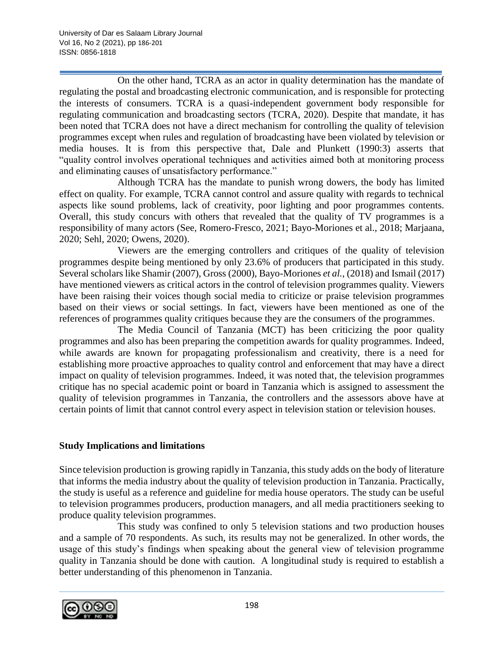On the other hand, TCRA as an actor in quality determination has the mandate of regulating the postal and broadcasting electronic communication, and is responsible for protecting the interests of consumers. TCRA is a quasi-independent government body responsible for regulating communication and broadcasting sectors (TCRA, 2020). Despite that mandate, it has been noted that TCRA does not have a direct mechanism for controlling the quality of television programmes except when rules and regulation of broadcasting have been violated by television or media houses. It is from this perspective that, Dale and Plunkett (1990:3) asserts that "quality control involves operational techniques and activities aimed both at monitoring process and eliminating causes of unsatisfactory performance."

Although TCRA has the mandate to punish wrong dowers, the body has limited effect on quality. For example, TCRA cannot control and assure quality with regards to technical aspects like sound problems, lack of creativity, poor lighting and poor programmes contents. Overall, this study concurs with others that revealed that the quality of TV programmes is a responsibility of many actors (See, Romero-Fresco, 2021; Bayo-Moriones et al., 2018; Marjaana, 2020; Sehl, 2020; Owens, 2020).

Viewers are the emerging controllers and critiques of the quality of television programmes despite being mentioned by only 23.6% of producers that participated in this study. Several scholars like Shamir (2007), Gross (2000), Bayo-Moriones *et al.*, (2018) and Ismail (2017) have mentioned viewers as critical actors in the control of television programmes quality. Viewers have been raising their voices though social media to criticize or praise television programmes based on their views or social settings. In fact, viewers have been mentioned as one of the references of programmes quality critiques because they are the consumers of the programmes.

The Media Council of Tanzania (MCT) has been criticizing the poor quality programmes and also has been preparing the competition awards for quality programmes. Indeed, while awards are known for propagating professionalism and creativity, there is a need for establishing more proactive approaches to quality control and enforcement that may have a direct impact on quality of television programmes. Indeed, it was noted that, the television programmes critique has no special academic point or board in Tanzania which is assigned to assessment the quality of television programmes in Tanzania, the controllers and the assessors above have at certain points of limit that cannot control every aspect in television station or television houses.

## **Study Implications and limitations**

Since television production is growing rapidly in Tanzania, this study adds on the body of literature that informs the media industry about the quality of television production in Tanzania. Practically, the study is useful as a reference and guideline for media house operators. The study can be useful to television programmes producers, production managers, and all media practitioners seeking to produce quality television programmes.

This study was confined to only 5 television stations and two production houses and a sample of 70 respondents. As such, its results may not be generalized. In other words, the usage of this study's findings when speaking about the general view of television programme quality in Tanzania should be done with caution. A longitudinal study is required to establish a better understanding of this phenomenon in Tanzania.

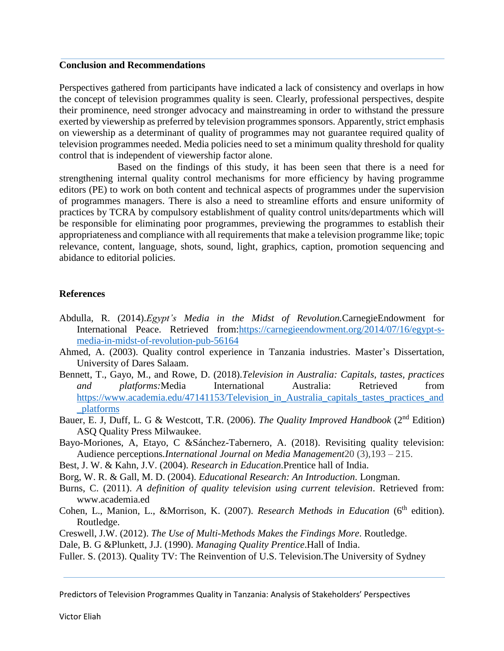#### **Conclusion and Recommendations**

Perspectives gathered from participants have indicated a lack of consistency and overlaps in how the concept of television programmes quality is seen. Clearly, professional perspectives, despite their prominence, need stronger advocacy and mainstreaming in order to withstand the pressure exerted by viewership as preferred by television programmes sponsors. Apparently, strict emphasis on viewership as a determinant of quality of programmes may not guarantee required quality of television programmes needed. Media policies need to set a minimum quality threshold for quality control that is independent of viewership factor alone.

Based on the findings of this study, it has been seen that there is a need for strengthening internal quality control mechanisms for more efficiency by having programme editors (PE) to work on both content and technical aspects of programmes under the supervision of programmes managers. There is also a need to streamline efforts and ensure uniformity of practices by TCRA by compulsory establishment of quality control units/departments which will be responsible for eliminating poor programmes, previewing the programmes to establish their appropriateness and compliance with all requirements that make a television programme like; topic relevance, content, language, shots, sound, light, graphics, caption, promotion sequencing and abidance to editorial policies.

#### **References**

- Abdulla, R. (2014).*Egypt's Media in the Midst of Revolution.*CarnegieEndowment for International Peace. Retrieved from[:https://carnegieendowment.org/2014/07/16/egypt-s](https://carnegieendowment.org/2014/07/16/egypt-s-media-in-midst-of-revolution-pub-56164)[media-in-midst-of-revolution-pub-56164](https://carnegieendowment.org/2014/07/16/egypt-s-media-in-midst-of-revolution-pub-56164)
- Ahmed, A. (2003). Quality control experience in Tanzania industries. Master's Dissertation, University of Dares Salaam.
- Bennett, T., Gayo, M., and Rowe, D. (2018).*Television in Australia: Capitals, tastes, practices and platforms:*Media International Australia: Retrieved from [https://www.academia.edu/47141153/Television\\_in\\_Australia\\_capitals\\_tastes\\_practices\\_and](https://www.academia.edu/47141153/Television_in_Australia_capitals_tastes_practices_and_platforms) [\\_platforms](https://www.academia.edu/47141153/Television_in_Australia_capitals_tastes_practices_and_platforms)
- Bauer, E. J, Duff, L. G & Westcott, T.R. (2006). *The Quality Improved Handbook* (2nd Edition) ASQ Quality Press Milwaukee.
- Bayo-Moriones, A, Etayo, C &Sánchez-Tabernero, A. (2018). Revisiting quality television: Audience perceptions*.International Journal on Media Management*20 (3),193 – 215.
- Best, J. W. & Kahn, J.V. (2004). *Research in Education*.Prentice hall of India.
- Borg, W. R. & Gall, M. D. (2004). *Educational Research: An Introduction*. Longman.
- Burns, C. (2011). *A definition of quality television using current television*. Retrieved from: [www.academia.ed](http://www.academia.ed/)
- Cohen, L., Manion, L., &Morrison, K. (2007). *Research Methods in Education* (6<sup>th</sup> edition). Routledge.
- Creswell, J.W. (2012). *The Use of Multi-Methods Makes the Findings More*. Routledge.

Dale, B. G &Plunkett, J.J. (1990). *Managing Quality Prentice*.Hall of India.

Fuller. S. (2013). Quality TV: The Reinvention of U.S. Television.The University of Sydney

Predictors of Television Programmes Quality in Tanzania: Analysis of Stakeholders' Perspectives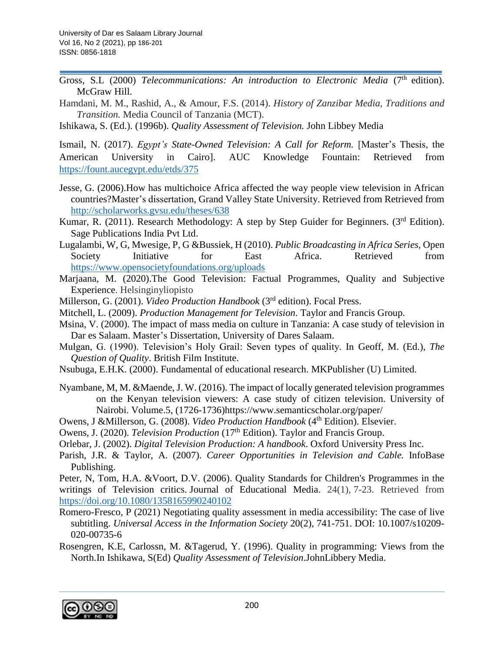- Gross, S.L (2000) *Telecommunications: An introduction to Electronic Media* (7<sup>th</sup> edition). McGraw Hill.
- Hamdani, M. M., Rashid, A., & Amour, F.S. (2014). *History of Zanzibar Media, Traditions and Transition.* Media Council of Tanzania (MCT).

Ishikawa, S. (Ed.). (1996b). *Quality Assessment of Television.* John Libbey Media

Ismail, N. (2017). *Egypt's State-Owned Television: A Call for Reform.* [Master's Thesis, the American University in Cairo]. AUC Knowledge Fountain: Retrieved from <https://fount.aucegypt.edu/etds/375>

- Jesse, G. (2006).How has multichoice Africa affected the way people view television in African countries?Master's dissertation, Grand Valley State University. Retrieved from Retrieved from <http://scholarworks.gvsu.edu/theses/638>
- Kumar, R. (2011). Research Methodology: A step by Step Guider for Beginners. (3<sup>rd</sup> Edition). Sage Publications India Pvt Ltd.
- Lugalambi, W, G, Mwesige, P, G &Bussiek, H (2010). *Public Broadcasting in Africa Series,* Open Society Initiative for East Africa. Retrieved from <https://www.opensocietyfoundations.org/uploads>
- Marjaana, M. (2020).The Good Television: Factual Programmes, Quality and Subjective Experience. Helsinginyliopisto
- Millerson, G. (2001). *Video Production Handbook* (3<sup>rd</sup> edition). Focal Press.
- Mitchell, L. (2009). *Production Management for Television*. Taylor and Francis Group.
- Msina, V. (2000). The impact of mass media on culture in Tanzania: A case study of television in Dar es Salaam. Master's Dissertation, University of Dares Salaam.
- Mulgan, G. (1990). Television's Holy Grail: Seven types of quality. In Geoff, M. (Ed.), *The Question of Quality*. British Film Institute.
- Nsubuga, E.H.K. (2000). Fundamental of educational research. MKPublisher (U) Limited.
- Nyambane, M, M. &Maende, J. W. (2016). The impact of locally generated television programmes on the Kenyan television viewers: A case study of citizen television. University of Nairobi. Volume.5, (1726-1736)https://www.semanticscholar.org/paper/
- Owens, J &Millerson, G. (2008). *Video Production Handbook* (4<sup>th</sup> Edition). Elsevier.
- Owens, J. (2020). *Television Production* (17th Edition). Taylor and Francis Group.
- Orlebar, J. (2002). *Digital Television Production: A handbook*. Oxford University Press Inc.
- Parish, J.R. & Taylor, A. (2007). *Career Opportunities in Television and Cable.* InfoBase Publishing.

Peter, N, Tom, H.A. &Voort, D.V. (2006). Quality Standards for Children's Programmes in the writings of Television critics. Journal of Educational Media. 24(1), 7-23. Retrieved from <https://doi.org/10.1080/1358165990240102>

- Romero-Fresco, P (2021) Negotiating quality assessment in media accessibility: The case of live subtitling. *Universal Access in the Information Society* 20(2), 741-751. DOI: 10.1007/s10209- 020-00735-6
- Rosengren, K.E, Carlossn, M. &Tagerud, Y. (1996). Quality in programming: Views from the North.In Ishikawa, S(Ed) *Quality Assessment of Television*.JohnLibbery Media.